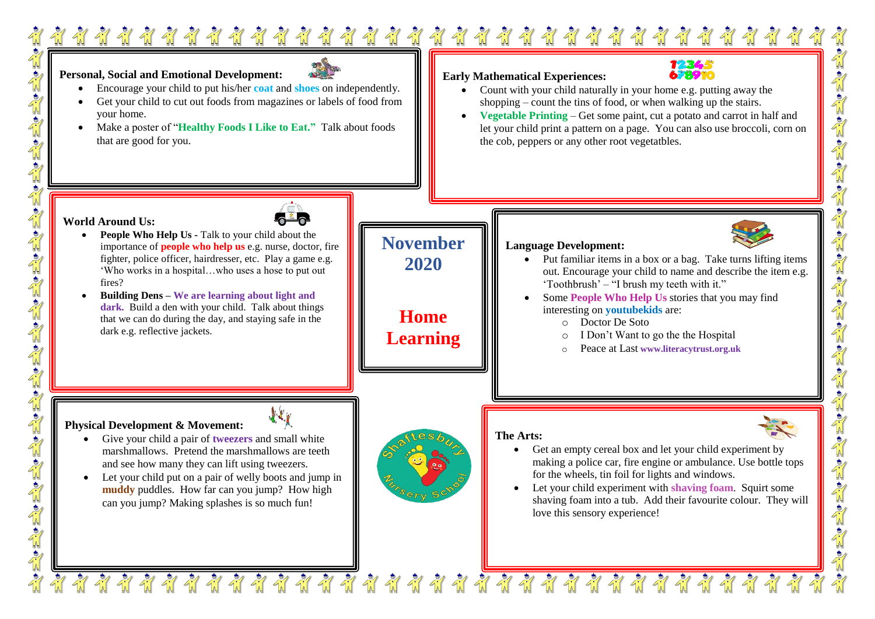